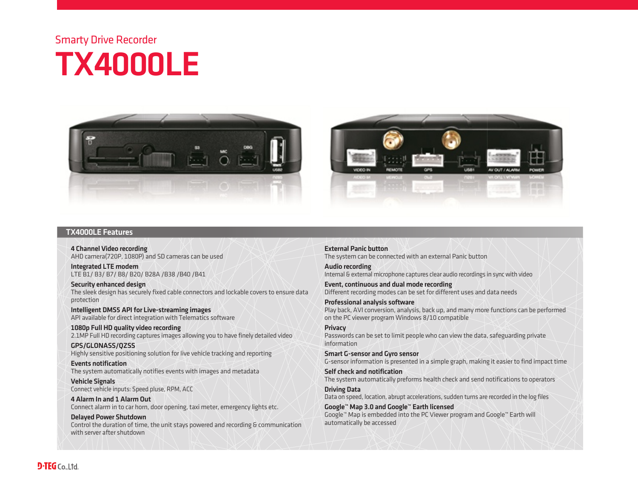## Smarty Drive Recorder TX4000LE



## TX4000LE Features

4 Channel Video recording AHD camera(720P, 1080P) and SD cameras can be used

Integrated LTE modem LTE B1/ B3/ B7/ B8/ B20/ B28A /B38 /B40 /B41

Security enhanced design The sleek design has securely fixed cable connectors and lockable covers to ensure data protection

Intelligent DMS5 API for Live-streaming images API available for direct integration with Telematics software

1080p Full HD quality video recording 2.1MP Full HD recording captures images allowing you to have finely detailed video

GPS/GLONASS/QZSS Highly sensitive positioning solution for live vehicle tracking and reporting

Events notification The system automatically notifies events with images and metadata

Vehicle Signals Connect vehicle inputs: Speed pluse, RPM, ACC

4 Alarm In and 1 Alarm Out Connect alarm in to car horn, door opening, taxi meter, emergency lights etc.

Delayed Power Shutdown Control the duration of time, the unit stays powered and recording & communication with server after shutdown

External Panic button The system can be connected with an external Panic button

Audio recording Internal & external microphone captures clear audio recordings in sync with video

Event, continuous and dual mode recording Different recording modes can be set for different uses and data needs

Professional analysis software Play back, AVI conversion, analysis, back up, and many more functions can be performed on the PC viewer program Windows 8/10 compatible

**Privacy** Passwords can be set to limit people who can view the data, safeguarding private information

Smart G-sensor and Gyro sensor G-sensor information is presented in a simple graph, making it easier to find impact time

Self check and notification The system automatically preforms health check and send notifications to operators

Driving Data Data on speed, location, abrupt accelerations, sudden turns are recorded in the log files

Google™ Map 3.0 and Google™ Earth licensed Google™ Map is embedded into the PC Viewer program and Google™ Earth will automatically be accessed